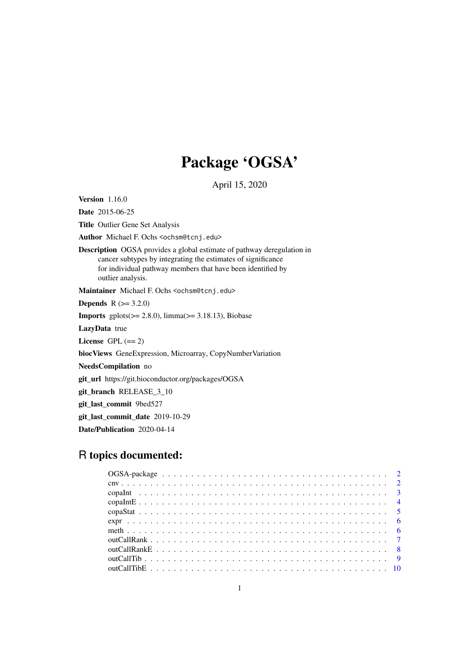# Package 'OGSA'

April 15, 2020

Version 1.16.0

Date 2015-06-25

Title Outlier Gene Set Analysis

Author Michael F. Ochs <ochsm@tcnj.edu>

Description OGSA provides a global estimate of pathway deregulation in cancer subtypes by integrating the estimates of significance for individual pathway members that have been identified by outlier analysis.

Maintainer Michael F. Ochs <ochsm@tcnj.edu>

**Depends**  $R$  ( $>= 3.2.0$ )

**Imports** gplots( $>= 2.8.0$ ),  $\lim_{x \to 2}$  and  $\lim_{x \to 3}$  and  $\lim_{x \to 3}$  and  $\lim_{x \to 3}$  and  $\lim_{x \to 3}$  and  $\lim_{x \to 3}$  and  $\lim_{x \to 3}$  and  $\lim_{x \to 3}$  and  $\lim_{x \to 3}$  and  $\lim_{x \to 3}$  and  $\lim_{x \to 3}$  and  $\lim_{x \to 3}$  and

LazyData true

License GPL  $(== 2)$ 

biocViews GeneExpression, Microarray, CopyNumberVariation

NeedsCompilation no

git\_url https://git.bioconductor.org/packages/OGSA

git\_branch RELEASE\_3\_10

git\_last\_commit 9bed527

git\_last\_commit\_date 2019-10-29

Date/Publication 2020-04-14

# R topics documented: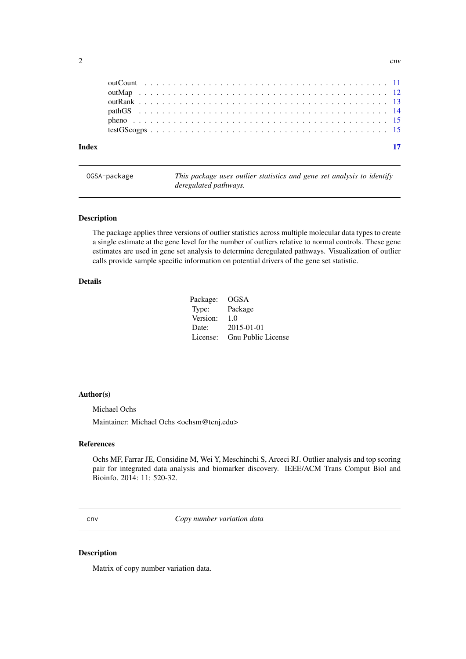<span id="page-1-0"></span>

| <b>Index</b> |  |  |  |  |  |  |  |  |  |  |  |  |  |  |  |  |  |  |  |  |
|--------------|--|--|--|--|--|--|--|--|--|--|--|--|--|--|--|--|--|--|--|--|
|              |  |  |  |  |  |  |  |  |  |  |  |  |  |  |  |  |  |  |  |  |
|              |  |  |  |  |  |  |  |  |  |  |  |  |  |  |  |  |  |  |  |  |
|              |  |  |  |  |  |  |  |  |  |  |  |  |  |  |  |  |  |  |  |  |
|              |  |  |  |  |  |  |  |  |  |  |  |  |  |  |  |  |  |  |  |  |
|              |  |  |  |  |  |  |  |  |  |  |  |  |  |  |  |  |  |  |  |  |
|              |  |  |  |  |  |  |  |  |  |  |  |  |  |  |  |  |  |  |  |  |

This package uses outlier statistics and gene set analysis to identify *deregulated pathways.*

# Description

The package applies three versions of outlier statistics across multiple molecular data types to create a single estimate at the gene level for the number of outliers relative to normal controls. These gene estimates are used in gene set analysis to determine deregulated pathways. Visualization of outlier calls provide sample specific information on potential drivers of the gene set statistic.

# Details

Package: OGSA Type: Package Version: 1.0 Date: 2015-01-01 License: Gnu Public License

#### Author(s)

Michael Ochs

Maintainer: Michael Ochs <ochsm@tcnj.edu>

# References

Ochs MF, Farrar JE, Considine M, Wei Y, Meschinchi S, Arceci RJ. Outlier analysis and top scoring pair for integrated data analysis and biomarker discovery. IEEE/ACM Trans Comput Biol and Bioinfo. 2014: 11: 520-32.

cnv *Copy number variation data*

# Description

Matrix of copy number variation data.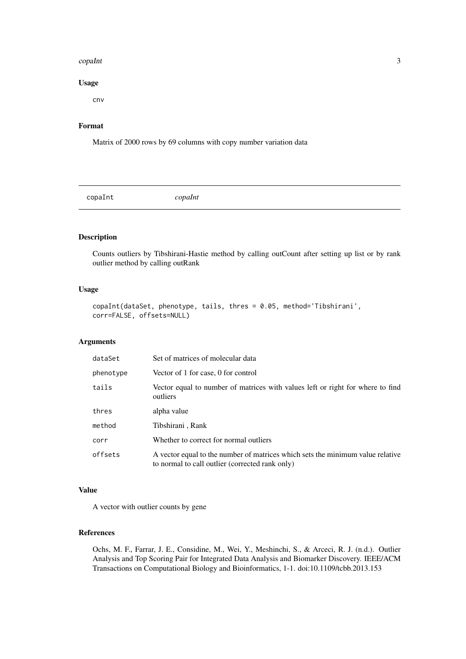#### <span id="page-2-0"></span>copaInt 3

# Usage

cnv

# Format

Matrix of 2000 rows by 69 columns with copy number variation data

copaInt *copaInt*

# Description

Counts outliers by Tibshirani-Hastie method by calling outCount after setting up list or by rank outlier method by calling outRank

# Usage

```
copaInt(dataSet, phenotype, tails, thres = 0.05, method='Tibshirani',
corr=FALSE, offsets=NULL)
```
#### Arguments

| dataSet   | Set of matrices of molecular data                                                                                                 |
|-----------|-----------------------------------------------------------------------------------------------------------------------------------|
| phenotype | Vector of 1 for case, 0 for control                                                                                               |
| tails     | Vector equal to number of matrices with values left or right for where to find<br>outliers                                        |
| thres     | alpha value                                                                                                                       |
| method    | Tibshirani, Rank                                                                                                                  |
| corr      | Whether to correct for normal outliers                                                                                            |
| offsets   | A vector equal to the number of matrices which sets the minimum value relative<br>to normal to call outlier (corrected rank only) |

# Value

A vector with outlier counts by gene

#### References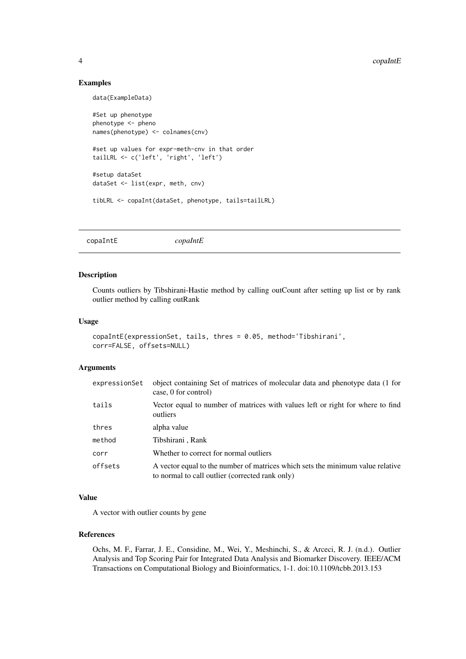<span id="page-3-0"></span>4 copaIntE

#### Examples

data(ExampleData) #Set up phenotype phenotype <- pheno names(phenotype) <- colnames(cnv) #set up values for expr-meth-cnv in that order tailLRL <- c('left', 'right', 'left') #setup dataSet dataSet <- list(expr, meth, cnv) tibLRL <- copaInt(dataSet, phenotype, tails=tailLRL)

copaIntE *copaIntE*

# Description

Counts outliers by Tibshirani-Hastie method by calling outCount after setting up list or by rank outlier method by calling outRank

# Usage

```
copaIntE(expressionSet, tails, thres = 0.05, method='Tibshirani',
corr=FALSE, offsets=NULL)
```
# Arguments

| expressionSet | object containing Set of matrices of molecular data and phenotype data (1 for<br>case, 0 for control)                             |
|---------------|-----------------------------------------------------------------------------------------------------------------------------------|
| tails         | Vector equal to number of matrices with values left or right for where to find<br>outliers                                        |
| thres         | alpha value                                                                                                                       |
| method        | Tibshirani, Rank                                                                                                                  |
| corr          | Whether to correct for normal outliers                                                                                            |
| offsets       | A vector equal to the number of matrices which sets the minimum value relative<br>to normal to call outlier (corrected rank only) |

# Value

A vector with outlier counts by gene

# References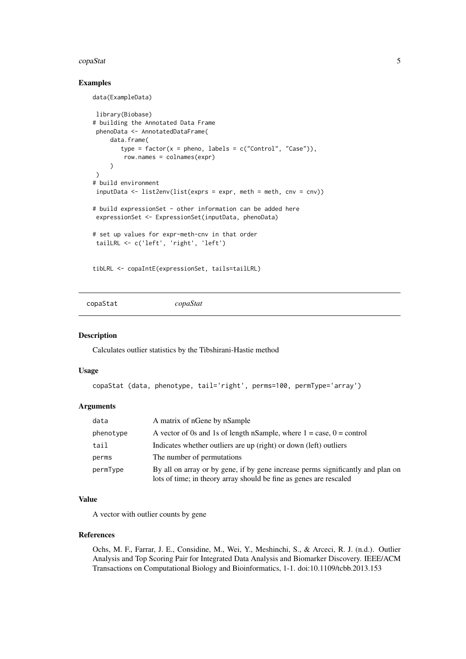#### <span id="page-4-0"></span>copaStat 5

#### Examples

```
data(ExampleData)
```

```
library(Biobase)
# building the Annotated Data Frame
 phenoData <- AnnotatedDataFrame(
     data.frame(
        type = factor(x = pheno, labels = c("Control", "Case")),
         row.names = colnames(expr)
     \lambda)
# build environment
inputData <- list2env(list(exprs = expr, meth = meth, cnv = cnv))
# build expressionSet - other information can be added here
expressionSet <- ExpressionSet(inputData, phenoData)
# set up values for expr-meth-cnv in that order
tailLRL <- c('left', 'right', 'left')
```
tibLRL <- copaIntE(expressionSet, tails=tailLRL)

copaStat *copaStat*

#### Description

Calculates outlier statistics by the Tibshirani-Hastie method

#### Usage

```
copaStat (data, phenotype, tail='right', perms=100, permType='array')
```
# Arguments

| data      | A matrix of nGene by nSample                                                                                                                          |
|-----------|-------------------------------------------------------------------------------------------------------------------------------------------------------|
| phenotype | A vector of 0s and 1s of length nSample, where $1 = \text{case}, 0 = \text{control}$                                                                  |
| tail      | Indicates whether outliers are up (right) or down (left) outliers                                                                                     |
| perms     | The number of permutations.                                                                                                                           |
| permType  | By all on array or by gene, if by gene increase perms significantly and plan on<br>lots of time; in theory array should be fine as genes are rescaled |

# Value

A vector with outlier counts by gene

# References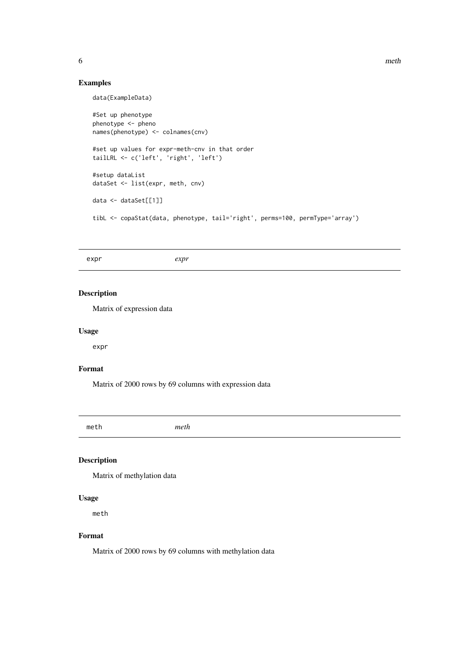<span id="page-5-0"></span>6 methods are contacted as a set of the contacted and the contacted and the contacted and the contacted and the contacted and the contacted and the contacted and the contacted and the contacted and the contacted and the co

# Examples

data(ExampleData) #Set up phenotype phenotype <- pheno names(phenotype) <- colnames(cnv) #set up values for expr-meth-cnv in that order tailLRL <- c('left', 'right', 'left') #setup dataList dataSet <- list(expr, meth, cnv) data <- dataSet[[1]] tibL <- copaStat(data, phenotype, tail='right', perms=100, permType='array')

expr *expr*

# Description

Matrix of expression data

#### Usage

expr

## Format

Matrix of 2000 rows by 69 columns with expression data

meth *meth*

# Description

Matrix of methylation data

# Usage

meth

## Format

Matrix of 2000 rows by 69 columns with methylation data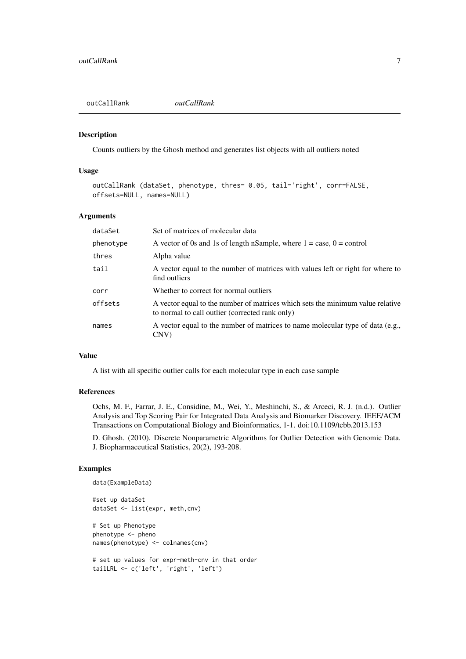<span id="page-6-0"></span>outCallRank *outCallRank*

#### Description

Counts outliers by the Ghosh method and generates list objects with all outliers noted

## Usage

```
outCallRank (dataSet, phenotype, thres= 0.05, tail='right', corr=FALSE,
offsets=NULL, names=NULL)
```
#### Arguments

| dataSet   | Set of matrices of molecular data                                                                                                 |
|-----------|-----------------------------------------------------------------------------------------------------------------------------------|
| phenotype | A vector of 0s and 1s of length nSample, where $1 = \text{case}, 0 = \text{control}$                                              |
| thres     | Alpha value                                                                                                                       |
| tail      | A vector equal to the number of matrices with values left or right for where to<br>find outliers                                  |
| corr      | Whether to correct for normal outliers                                                                                            |
| offsets   | A vector equal to the number of matrices which sets the minimum value relative<br>to normal to call outlier (corrected rank only) |
| names     | A vector equal to the number of matrices to name molecular type of data (e.g.,<br>CNV)                                            |

#### Value

A list with all specific outlier calls for each molecular type in each case sample

# References

Ochs, M. F., Farrar, J. E., Considine, M., Wei, Y., Meshinchi, S., & Arceci, R. J. (n.d.). Outlier Analysis and Top Scoring Pair for Integrated Data Analysis and Biomarker Discovery. IEEE/ACM Transactions on Computational Biology and Bioinformatics, 1-1. doi:10.1109/tcbb.2013.153

D. Ghosh. (2010). Discrete Nonparametric Algorithms for Outlier Detection with Genomic Data. J. Biopharmaceutical Statistics, 20(2), 193-208.

## Examples

```
data(ExampleData)
#set up dataSet
dataSet <- list(expr, meth,cnv)
# Set up Phenotype
phenotype <- pheno
names(phenotype) <- colnames(cnv)
# set up values for expr-meth-cnv in that order
tailLRL <- c('left', 'right', 'left')
```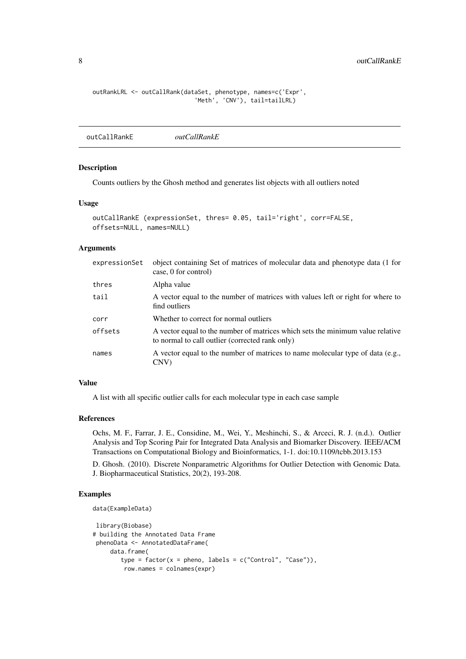```
outRankLRL <- outCallRank(dataSet, phenotype, names=c('Expr',
                             'Meth', 'CNV'), tail=tailLRL)
```
outCallRankE *outCallRankE*

# Description

Counts outliers by the Ghosh method and generates list objects with all outliers noted

#### Usage

```
outCallRankE (expressionSet, thres= 0.05, tail='right', corr=FALSE,
offsets=NULL, names=NULL)
```
#### Arguments

| expressionSet | object containing Set of matrices of molecular data and phenotype data (1 for<br>case, 0 for control)                             |
|---------------|-----------------------------------------------------------------------------------------------------------------------------------|
| thres         | Alpha value                                                                                                                       |
| tail          | A vector equal to the number of matrices with values left or right for where to<br>find outliers                                  |
| corr          | Whether to correct for normal outliers                                                                                            |
| offsets       | A vector equal to the number of matrices which sets the minimum value relative<br>to normal to call outlier (corrected rank only) |
| names         | A vector equal to the number of matrices to name molecular type of data (e.g.,<br>CNV                                             |
|               |                                                                                                                                   |

# Value

A list with all specific outlier calls for each molecular type in each case sample

#### References

Ochs, M. F., Farrar, J. E., Considine, M., Wei, Y., Meshinchi, S., & Arceci, R. J. (n.d.). Outlier Analysis and Top Scoring Pair for Integrated Data Analysis and Biomarker Discovery. IEEE/ACM Transactions on Computational Biology and Bioinformatics, 1-1. doi:10.1109/tcbb.2013.153

D. Ghosh. (2010). Discrete Nonparametric Algorithms for Outlier Detection with Genomic Data. J. Biopharmaceutical Statistics, 20(2), 193-208.

# Examples

```
data(ExampleData)
```

```
library(Biobase)
# building the Annotated Data Frame
phenoData <- AnnotatedDataFrame(
     data.frame(
       type = factor(x = plane, labels = c("Control", "Case")),
        row.names = colnames(expr)
```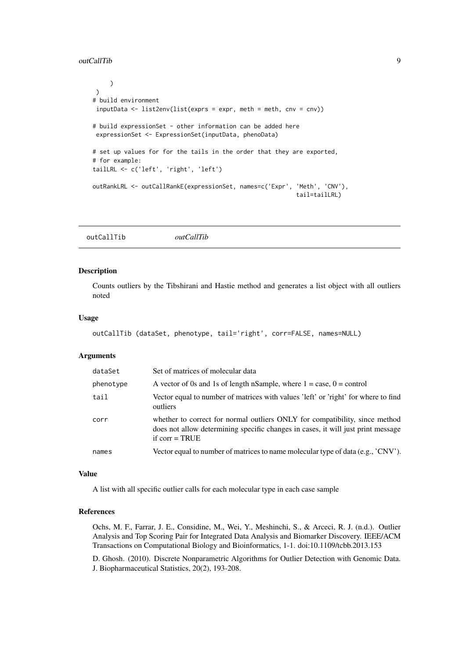#### <span id="page-8-0"></span>outCallTib 9

```
)
 \lambda# build environment
 inputData \leftarrow list2env(list(exps = expr, meth = meth, env = env))# build expressionSet - other information can be added here
 expressionSet <- ExpressionSet(inputData, phenoData)
# set up values for for the tails in the order that they are exported,
# for example:
tailLRL <- c('left', 'right', 'left')
outRankLRL <- outCallRankE(expressionSet, names=c('Expr', 'Meth', 'CNV'),
                                                            tail=tailLRL)
```
outCallTib *outCallTib*

# Description

Counts outliers by the Tibshirani and Hastie method and generates a list object with all outliers noted

#### Usage

```
outCallTib (dataSet, phenotype, tail='right', corr=FALSE, names=NULL)
```
#### Arguments

| dataSet   | Set of matrices of molecular data                                                                                                                                                   |
|-----------|-------------------------------------------------------------------------------------------------------------------------------------------------------------------------------------|
| phenotype | A vector of 0s and 1s of length nSample, where $1 = \text{case}, 0 = \text{control}$                                                                                                |
| tail      | Vector equal to number of matrices with values 'left' or 'right' for where to find<br>outliers                                                                                      |
| corr      | whether to correct for normal outliers ONLY for compatibility, since method<br>does not allow determining specific changes in cases, it will just print message<br>if $corr = TRUE$ |
| names     | Vector equal to number of matrices to name molecular type of data (e.g., $\text{'CNV'}$ ).                                                                                          |

#### Value

A list with all specific outlier calls for each molecular type in each case sample

#### References

Ochs, M. F., Farrar, J. E., Considine, M., Wei, Y., Meshinchi, S., & Arceci, R. J. (n.d.). Outlier Analysis and Top Scoring Pair for Integrated Data Analysis and Biomarker Discovery. IEEE/ACM Transactions on Computational Biology and Bioinformatics, 1-1. doi:10.1109/tcbb.2013.153

D. Ghosh. (2010). Discrete Nonparametric Algorithms for Outlier Detection with Genomic Data. J. Biopharmaceutical Statistics, 20(2), 193-208.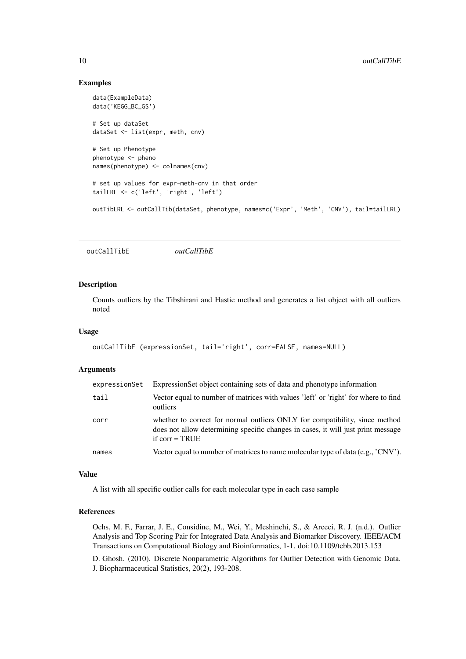#### Examples

```
data(ExampleData)
data('KEGG_BC_GS')
# Set up dataSet
dataSet <- list(expr, meth, cnv)
# Set up Phenotype
phenotype <- pheno
names(phenotype) <- colnames(cnv)
# set up values for expr-meth-cnv in that order
tailLRL <- c('left', 'right', 'left')
outTibLRL <- outCallTib(dataSet, phenotype, names=c('Expr', 'Meth', 'CNV'), tail=tailLRL)
```
outCallTibE *outCallTibE*

#### Description

Counts outliers by the Tibshirani and Hastie method and generates a list object with all outliers noted

# Usage

```
outCallTibE (expressionSet, tail='right', corr=FALSE, names=NULL)
```
#### Arguments

| expressionSet | ExpressionSet object containing sets of data and phenotype information                                                                                                              |
|---------------|-------------------------------------------------------------------------------------------------------------------------------------------------------------------------------------|
| tail          | Vector equal to number of matrices with values 'left' or 'right' for where to find<br>outliers                                                                                      |
| corr          | whether to correct for normal outliers ONLY for compatibility, since method<br>does not allow determining specific changes in cases, it will just print message<br>if $corr = TRUE$ |
| names         | Vector equal to number of matrices to name molecular type of data (e.g., $\gamma$ CNV).                                                                                             |

#### Value

A list with all specific outlier calls for each molecular type in each case sample

# References

Ochs, M. F., Farrar, J. E., Considine, M., Wei, Y., Meshinchi, S., & Arceci, R. J. (n.d.). Outlier Analysis and Top Scoring Pair for Integrated Data Analysis and Biomarker Discovery. IEEE/ACM Transactions on Computational Biology and Bioinformatics, 1-1. doi:10.1109/tcbb.2013.153

D. Ghosh. (2010). Discrete Nonparametric Algorithms for Outlier Detection with Genomic Data. J. Biopharmaceutical Statistics, 20(2), 193-208.

<span id="page-9-0"></span>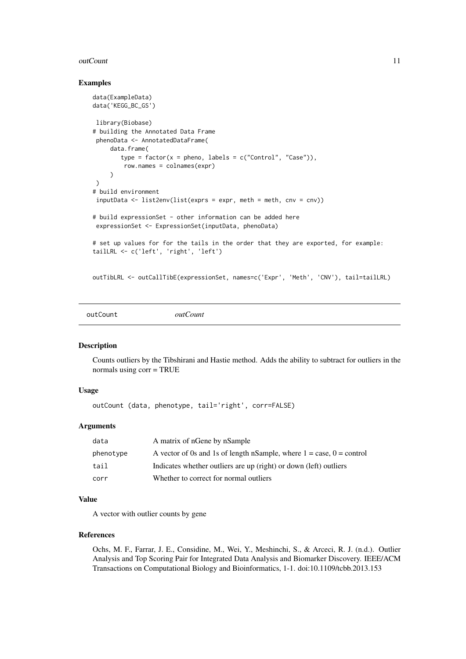#### <span id="page-10-0"></span>outCount 11

#### Examples

```
data(ExampleData)
data('KEGG_BC_GS')
library(Biobase)
# building the Annotated Data Frame
 phenoData <- AnnotatedDataFrame(
     data.frame(
        type = factor(x = pheno, labels = c("Control", "Case")),
         row.names = colnames(expr)
     )
\rightarrow# build environment
inputData <- list2env(list(exprs = expr, meth = meth, cnv = cnv))
# build expressionSet - other information can be added here
expressionSet <- ExpressionSet(inputData, phenoData)
# set up values for for the tails in the order that they are exported, for example:
tailLRL <- c('left', 'right', 'left')
outTibLRL <- outCallTibE(expressionSet, names=c('Expr', 'Meth', 'CNV'), tail=tailLRL)
```
outCount *outCount*

#### Description

Counts outliers by the Tibshirani and Hastie method. Adds the ability to subtract for outliers in the normals using corr = TRUE

#### Usage

outCount (data, phenotype, tail='right', corr=FALSE)

# Arguments

| data      | A matrix of nGene by nSample                                                         |
|-----------|--------------------------------------------------------------------------------------|
| phenotype | A vector of 0s and 1s of length nSample, where $1 = \text{case}, 0 = \text{control}$ |
| tail      | Indicates whether outliers are up (right) or down (left) outliers                    |
| corr      | Whether to correct for normal outliers                                               |

# Value

A vector with outlier counts by gene

#### References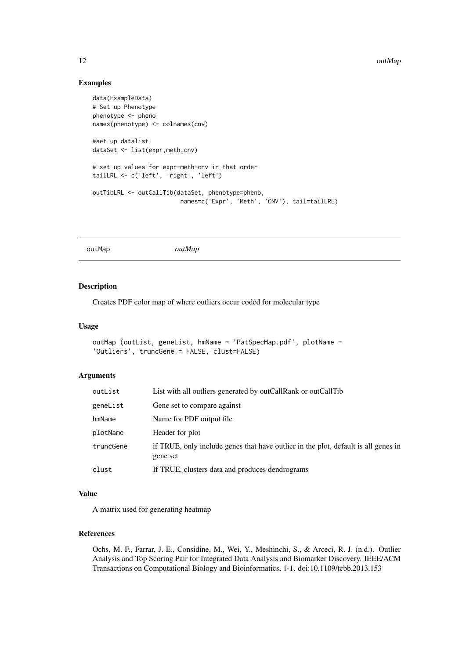# Examples

```
data(ExampleData)
# Set up Phenotype
phenotype <- pheno
names(phenotype) <- colnames(cnv)
#set up datalist
dataSet <- list(expr,meth,cnv)
# set up values for expr-meth-cnv in that order
tailLRL <- c('left', 'right', 'left')
outTibLRL <- outCallTib(dataSet, phenotype=pheno,
                         names=c('Expr', 'Meth', 'CNV'), tail=tailLRL)
```
outMap *outMap*

# Description

Creates PDF color map of where outliers occur coded for molecular type

# Usage

```
outMap (outList, geneList, hmName = 'PatSpecMap.pdf', plotName =
'Outliers', truncGene = FALSE, clust=FALSE)
```
# Arguments

| outList   | List with all outliers generated by outCallRank or outCallTib                                  |
|-----------|------------------------------------------------------------------------------------------------|
| geneList  | Gene set to compare against                                                                    |
| hmName    | Name for PDF output file.                                                                      |
| plotName  | Header for plot                                                                                |
| truncGene | if TRUE, only include genes that have outlier in the plot, default is all genes in<br>gene set |
| clust     | If TRUE, clusters data and produces dendrograms                                                |

# Value

A matrix used for generating heatmap

#### References

<span id="page-11-0"></span>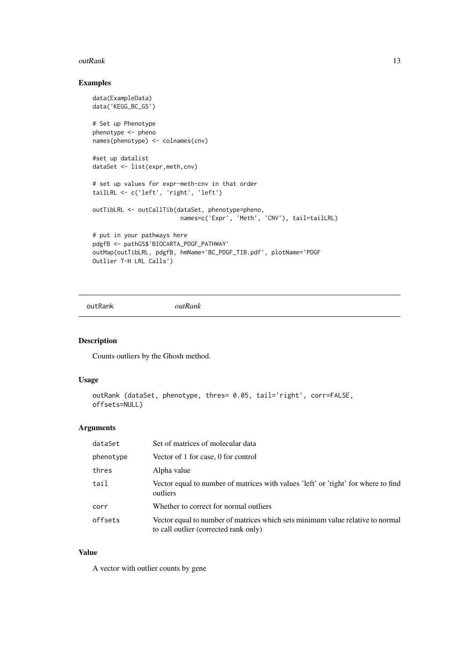#### <span id="page-12-0"></span>outRank 13

# Examples

```
data(ExampleData)
data('KEGG_BC_GS')
# Set up Phenotype
phenotype <- pheno
names(phenotype) <- colnames(cnv)
#set up datalist
dataSet <- list(expr,meth,cnv)
# set up values for expr-meth-cnv in that order
tailLRL <- c('left', 'right', 'left')
outTibLRL <- outCallTib(dataSet, phenotype=pheno,
                         names=c('Expr', 'Meth', 'CNV'), tail=tailLRL)
# put in your pathways here
pdgfB <- pathGS$'BIOCARTA_PDGF_PATHWAY'
outMap(outTibLRL, pdgfB, hmName='BC_PDGF_TIB.pdf', plotName='PDGF
Outlier T-H LRL Calls')
```
outRank *outRank*

#### Description

Counts outliers by the Ghosh method.

#### Usage

```
outRank (dataSet, phenotype, thres= 0.05, tail='right', corr=FALSE,
offsets=NULL)
```
#### Arguments

| dataSet   | Set of matrices of molecular data                                                                                       |
|-----------|-------------------------------------------------------------------------------------------------------------------------|
| phenotype | Vector of 1 for case, 0 for control                                                                                     |
| thres     | Alpha value                                                                                                             |
| tail      | Vector equal to number of matrices with values 'left' or 'right' for where to find<br>outliers                          |
| corr      | Whether to correct for normal outliers                                                                                  |
| offsets   | Vector equal to number of matrices which sets minimum value relative to normal<br>to call outlier (corrected rank only) |

# Value

A vector with outlier counts by gene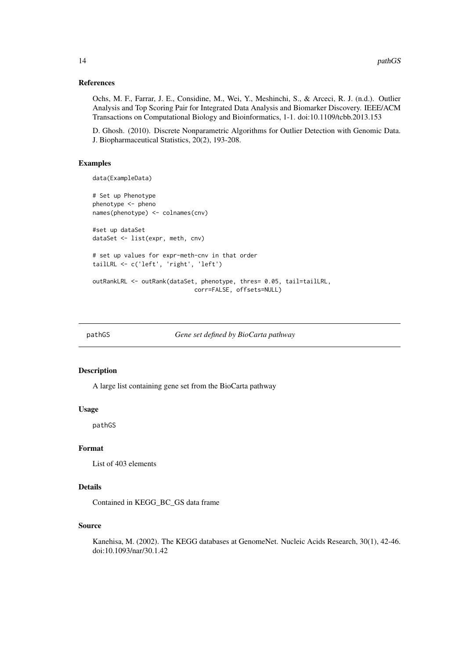#### <span id="page-13-0"></span>References

Ochs, M. F., Farrar, J. E., Considine, M., Wei, Y., Meshinchi, S., & Arceci, R. J. (n.d.). Outlier Analysis and Top Scoring Pair for Integrated Data Analysis and Biomarker Discovery. IEEE/ACM Transactions on Computational Biology and Bioinformatics, 1-1. doi:10.1109/tcbb.2013.153

D. Ghosh. (2010). Discrete Nonparametric Algorithms for Outlier Detection with Genomic Data. J. Biopharmaceutical Statistics, 20(2), 193-208.

# Examples

```
data(ExampleData)
```

```
# Set up Phenotype
phenotype <- pheno
names(phenotype) <- colnames(cnv)
#set up dataSet
dataSet <- list(expr, meth, cnv)
# set up values for expr-meth-cnv in that order
tailLRL <- c('left', 'right', 'left')
outRankLRL <- outRank(dataSet, phenotype, thres= 0.05, tail=tailLRL,
                             corr=FALSE, offsets=NULL)
```
pathGS *Gene set defined by BioCarta pathway*

#### Description

A large list containing gene set from the BioCarta pathway

# Usage

pathGS

#### Format

List of 403 elements

#### Details

Contained in KEGG\_BC\_GS data frame

# Source

Kanehisa, M. (2002). The KEGG databases at GenomeNet. Nucleic Acids Research, 30(1), 42-46. doi:10.1093/nar/30.1.42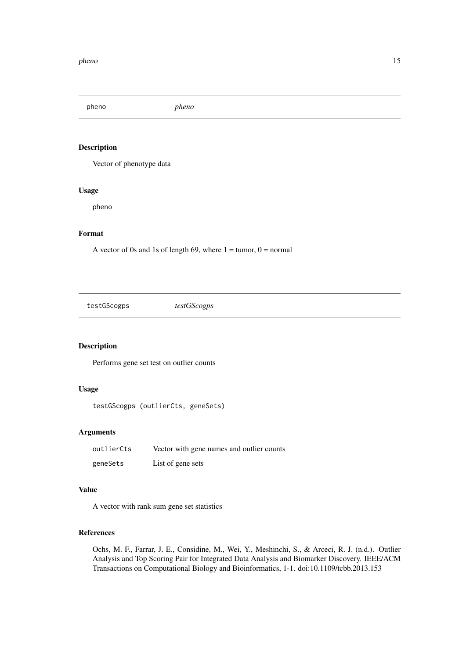<span id="page-14-0"></span>pheno *pheno*

# Description

Vector of phenotype data

#### Usage

pheno

# Format

A vector of 0s and 1s of length 69, where  $1 =$  tumor,  $0 =$  normal

testGScogps *testGScogps*

# Description

Performs gene set test on outlier counts

# Usage

testGScogps (outlierCts, geneSets)

# Arguments

| outlierCts | Vector with gene names and outlier counts |
|------------|-------------------------------------------|
| geneSets   | List of gene sets                         |

# Value

A vector with rank sum gene set statistics

# References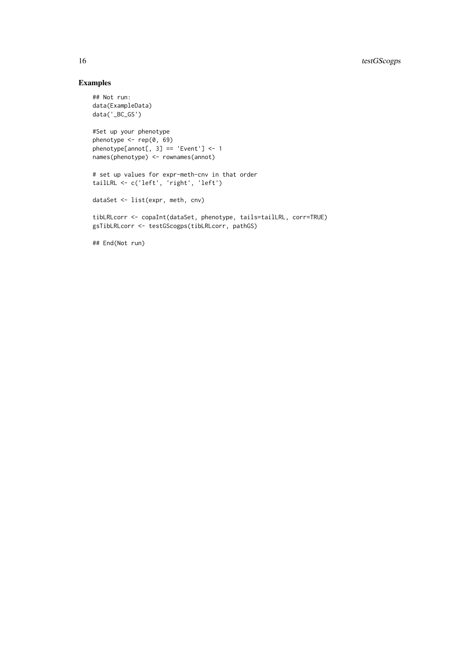# Examples

```
## Not run:
data(ExampleData)
data('_BC_GS')
```

```
#Set up your phenotype
phenotype <- rep(0, 69)
phenotype[annot[, 3] == 'Event'] <- 1
names(phenotype) <- rownames(annot)
```

```
# set up values for expr-meth-cnv in that order
tailLRL <- c('left', 'right', 'left')
```

```
dataSet <- list(expr, meth, cnv)
```

```
tibLRLcorr <- copaInt(dataSet, phenotype, tails=tailLRL, corr=TRUE)
gsTibLRLcorr <- testGScogps(tibLRLcorr, pathGS)
```
## End(Not run)